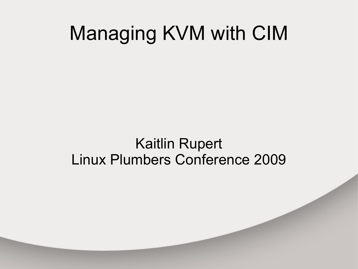#### Managing KVM with CIM

#### Kaitlin Rupert Linux Plumbers Conference 2009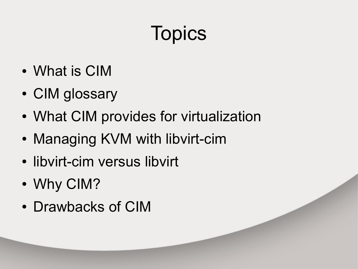# **Topics**

- What is CIM
- CIM glossary
- What CIM provides for virtualization
- Managing KVM with libvirt-cim
- libvirt-cim versus libvirt
- Why CIM?
- Drawbacks of CIM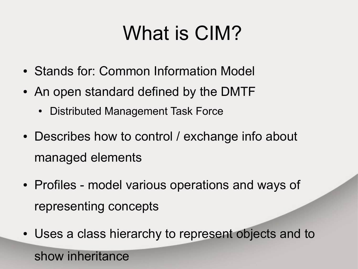## What is CIM?

- Stands for: Common Information Model
- An open standard defined by the DMTF
	- Distributed Management Task Force
- Describes how to control / exchange info about managed elements
- Profiles model various operations and ways of representing concepts
- Uses a class hierarchy to represent objects and to

show inheritance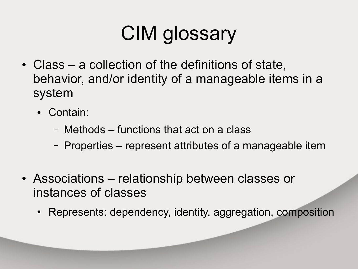# CIM glossary

- $\bullet$  Class a collection of the definitions of state, behavior, and/or identity of a manageable items in a system
	- Contain:
		- Methods functions that act on a class
		- Properties represent attributes of a manageable item
- Associations relationship between classes or instances of classes
	- Represents: dependency, identity, aggregation, composition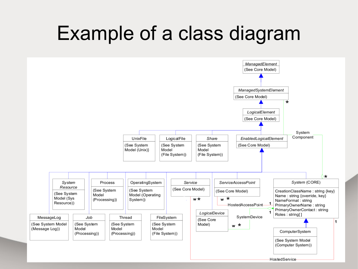#### Example of a class diagram

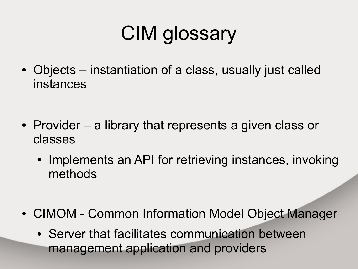# CIM glossary

- Objects instantiation of a class, usually just called instances
- Provider  $-$  a library that represents a given class or classes
	- Implements an API for retrieving instances, invoking methods
- CIMOM Common Information Model Object Manager
	- Server that facilitates communication between management application and providers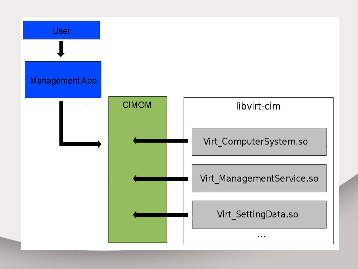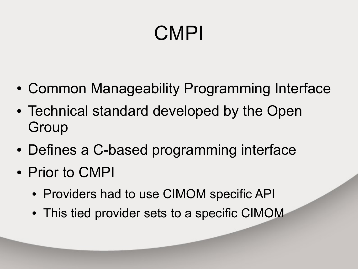# CMPI

- Common Manageability Programming Interface
- Technical standard developed by the Open Group
- Defines a C-based programming interface
- Prior to CMPI
	- Providers had to use CIMOM specific API
	- This tied provider sets to a specific CIMOM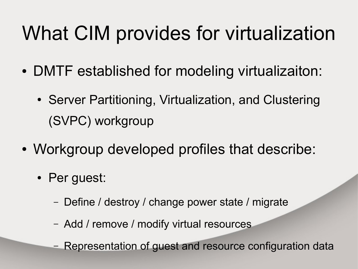## What CIM provides for virtualization

- DMTF established for modeling virtualizaiton:
	- Server Partitioning, Virtualization, and Clustering (SVPC) workgroup
- Workgroup developed profiles that describe:
	- Per guest:
		- Define / destroy / change power state / migrate
		- Add / remove / modify virtual resources
		- Representation of guest and resource configuration data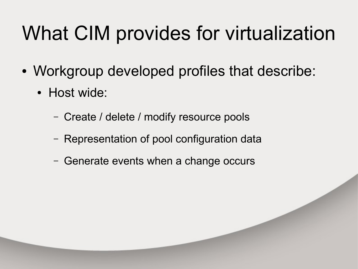## What CIM provides for virtualization

- Workgroup developed profiles that describe:
	- Host wide:
		- Create / delete / modify resource pools
		- Representation of pool configuration data
		- Generate events when a change occurs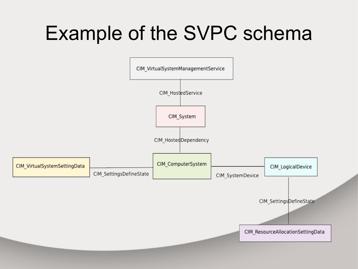#### Example of the SVPC schema

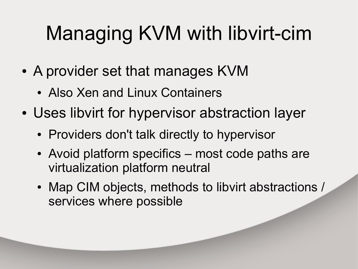# Managing KVM with libvirt-cim

- A provider set that manages KVM
	- Also Xen and Linux Containers
- Uses libvirt for hypervisor abstraction layer
	- Providers don't talk directly to hypervisor
	- Avoid platform specifics most code paths are virtualization platform neutral
	- Map CIM objects, methods to libvirt abstractions / services where possible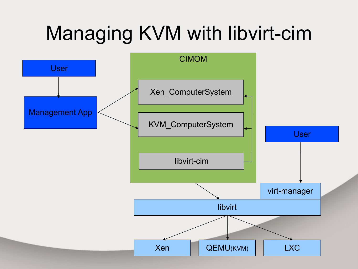## Managing KVM with libvirt-cim

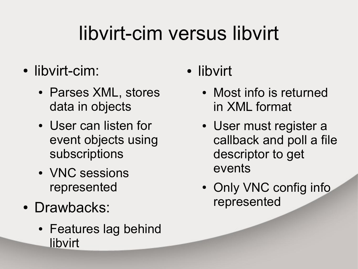## libvirt-cim versus libvirt

- libvirt-cim:
	- Parses XML, stores data in objects
	- User can listen for event objects using subscriptions
	- VNC sessions represented
- Drawbacks:
	- Features lag behind libvirt
- libvirt
	- Most info is returned in XML format
	- User must register a callback and poll a file descriptor to get events
	- Only VNC config info represented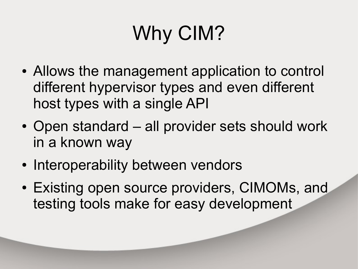# Why CIM?

- Allows the management application to control different hypervisor types and even different host types with a single API
- Open standard all provider sets should work in a known way
- Interoperability between vendors
- Existing open source providers, CIMOMs, and testing tools make for easy development